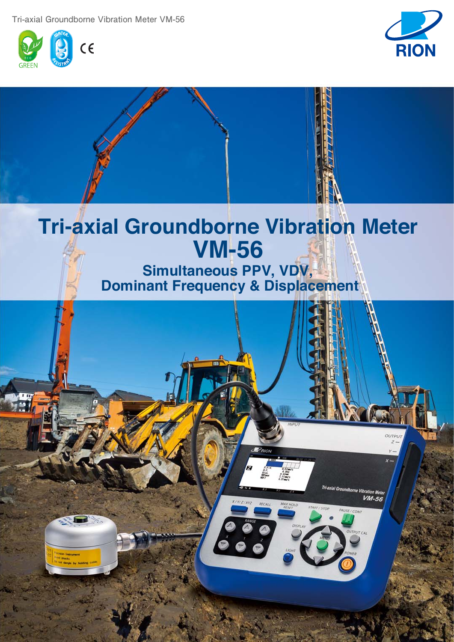**Tri-axial Groundborne Vibration Meter VM-56**





# **Tri-axial Groundborne Vibration Meter VM-56**

**Simultaneous PPV, VDV, Dominant Frequency & Displacement**

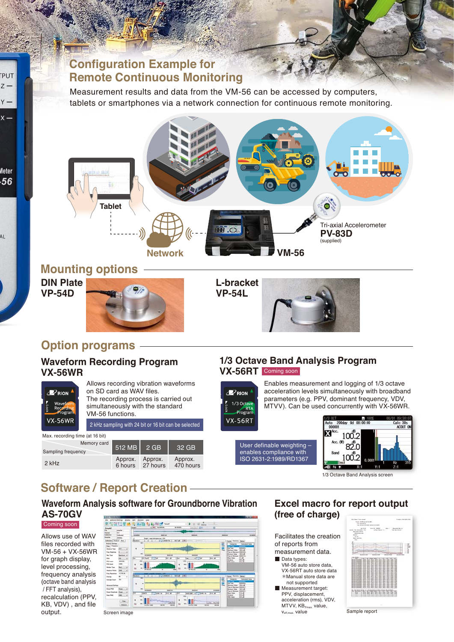# **Configuration Example for Remote Continuous Monitoring**

Measurement results and data from the VM-56 can be accessed by computers, tablets or smartphones via a network connection for continuous remote monitoring.



## **Mounting options**

**DIN Plate VP-54D**

**PUT** Z V

 $\mathsf{x}$ 

Meter

 $56$ 

A1





# **Option programs**

### **Waveform Recording Program VX-56WR**



Allows recording vibration waveforms on SD card as WAV files. The recording process is carried out simultaneously with the standard VM-56 functions.

2 kHz sampling with 24 bit or 16 bit can be selected

| Max. recording time (at 16 bit)   |               |                             |                      |  |
|-----------------------------------|---------------|-----------------------------|----------------------|--|
| Memory card<br>Sampling frequency | $512 MB$ 2 GB |                             | 32 GB                |  |
| $2$ kHz                           | Approx.       | Approx.<br>6 hours 27 hours | Approx.<br>470 hours |  |

### **1/3 Octave Band Analysis Program VX-56RT** Coming soon



**VX-56RT** 

Enables measurement and logging of 1/3 octave acceleration levels simultaneously with broadband levels simultaneously with broadband parameters (e.g. PPV, dominant frequency, VDV, MTVV). Can be used concurrently with VX-56WR.

User definable weighting –<br>User definable weighting – enables compliance with ISO 2631-2:1989/RD1367



# **Software / Report Creation**

**Waveform Analysis software for Groundborne Vibration AS-70GV**

Allows use of WAV files recorded with VM-56 + VX-56WR for graph display, level processing, frequency analysis (octave band analysis / FFT analysis), recalculation (PPV, KB, VDV) , and file output. Coming soon



### **Excel macro for report output (free of charge) (free of charge)**

Facilitates the creation<br>of reports from<br>measurement data.<br>Data types: of reports from measurement data. VM-56 auto store data, VX-56RT auto store data \*Manual store data are not supported Measurement target: PPV, displacement, acceleration (rms), VDV,  $MTVV$ ,  $KB_{Fmax}$ , value, v<sub>eff,max</sub>. value